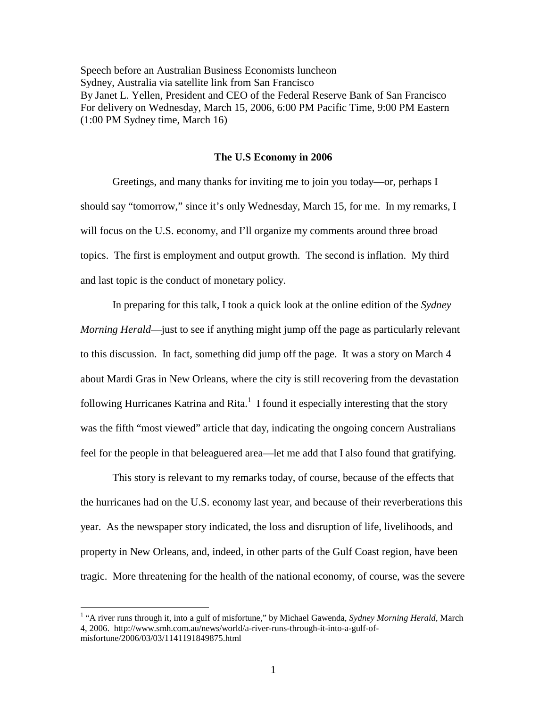Speech before an Australian Business Economists luncheon Sydney, Australia via satellite link from San Francisco By Janet L. Yellen, President and CEO of the Federal Reserve Bank of San Francisco For delivery on Wednesday, March 15, 2006, 6:00 PM Pacific Time, 9:00 PM Eastern (1:00 PM Sydney time, March 16)

## **The U.S Economy in 2006**

 Greetings, and many thanks for inviting me to join you today—or, perhaps I should say "tomorrow," since it's only Wednesday, March 15, for me. In my remarks, I will focus on the U.S. economy, and I'll organize my comments around three broad topics. The first is employment and output growth. The second is inflation. My third and last topic is the conduct of monetary policy.

 In preparing for this talk, I took a quick look at the online edition of the *Sydney Morning Herald*—just to see if anything might jump off the page as particularly relevant to this discussion. In fact, something did jump off the page. It was a story on March 4 about Mardi Gras in New Orleans, where the city is still recovering from the devastation following Hurricanes Katrina and Rita. $1$  I found it especially interesting that the story was the fifth "most viewed" article that day, indicating the ongoing concern Australians feel for the people in that beleaguered area—let me add that I also found that gratifying.

 This story is relevant to my remarks today, of course, because of the effects that the hurricanes had on the U.S. economy last year, and because of their reverberations this year. As the newspaper story indicated, the loss and disruption of life, livelihoods, and property in New Orleans, and, indeed, in other parts of the Gulf Coast region, have been tragic. More threatening for the health of the national economy, of course, was the severe

<sup>&</sup>lt;sup>1</sup> "A river runs through it, into a gulf of misfortune," by Michael Gawenda, *Sydney Morning Herald*, March 4, 2006. http://www.smh.com.au/news/world/a-river-runs-through-it-into-a-gulf-ofmisfortune/2006/03/03/1141191849875.html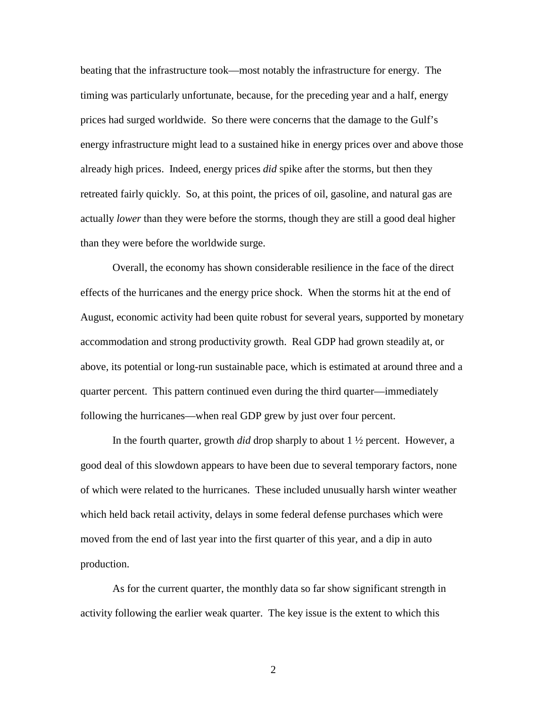beating that the infrastructure took—most notably the infrastructure for energy. The timing was particularly unfortunate, because, for the preceding year and a half, energy prices had surged worldwide. So there were concerns that the damage to the Gulf's energy infrastructure might lead to a sustained hike in energy prices over and above those already high prices. Indeed, energy prices *did* spike after the storms, but then they retreated fairly quickly. So, at this point, the prices of oil, gasoline, and natural gas are actually *lower* than they were before the storms, though they are still a good deal higher than they were before the worldwide surge.

Overall, the economy has shown considerable resilience in the face of the direct effects of the hurricanes and the energy price shock. When the storms hit at the end of August, economic activity had been quite robust for several years, supported by monetary accommodation and strong productivity growth. Real GDP had grown steadily at, or above, its potential or long-run sustainable pace, which is estimated at around three and a quarter percent. This pattern continued even during the third quarter—immediately following the hurricanes—when real GDP grew by just over four percent.

In the fourth quarter, growth *did* drop sharply to about 1 ½ percent. However, a good deal of this slowdown appears to have been due to several temporary factors, none of which were related to the hurricanes. These included unusually harsh winter weather which held back retail activity, delays in some federal defense purchases which were moved from the end of last year into the first quarter of this year, and a dip in auto production.

As for the current quarter, the monthly data so far show significant strength in activity following the earlier weak quarter. The key issue is the extent to which this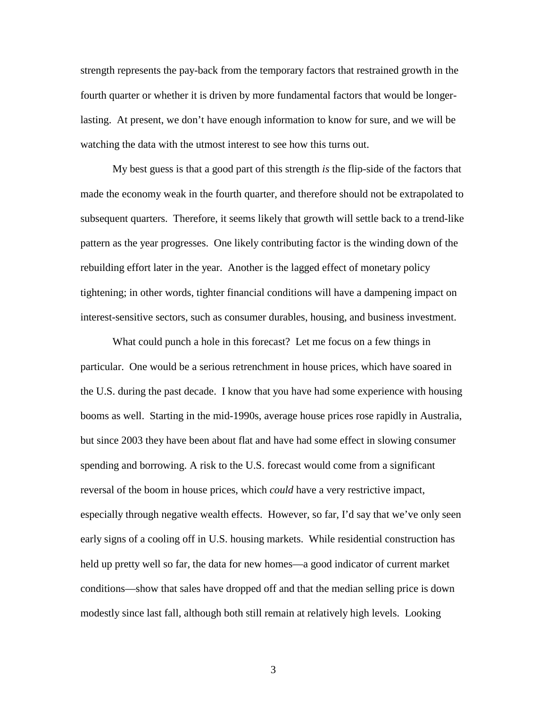strength represents the pay-back from the temporary factors that restrained growth in the fourth quarter or whether it is driven by more fundamental factors that would be longerlasting. At present, we don't have enough information to know for sure, and we will be watching the data with the utmost interest to see how this turns out.

My best guess is that a good part of this strength *is* the flip-side of the factors that made the economy weak in the fourth quarter, and therefore should not be extrapolated to subsequent quarters. Therefore, it seems likely that growth will settle back to a trend-like pattern as the year progresses. One likely contributing factor is the winding down of the rebuilding effort later in the year. Another is the lagged effect of monetary policy tightening; in other words, tighter financial conditions will have a dampening impact on interest-sensitive sectors, such as consumer durables, housing, and business investment.

What could punch a hole in this forecast? Let me focus on a few things in particular. One would be a serious retrenchment in house prices, which have soared in the U.S. during the past decade. I know that you have had some experience with housing booms as well. Starting in the mid-1990s, average house prices rose rapidly in Australia, but since 2003 they have been about flat and have had some effect in slowing consumer spending and borrowing. A risk to the U.S. forecast would come from a significant reversal of the boom in house prices, which *could* have a very restrictive impact, especially through negative wealth effects. However, so far, I'd say that we've only seen early signs of a cooling off in U.S. housing markets. While residential construction has held up pretty well so far, the data for new homes—a good indicator of current market conditions—show that sales have dropped off and that the median selling price is down modestly since last fall, although both still remain at relatively high levels. Looking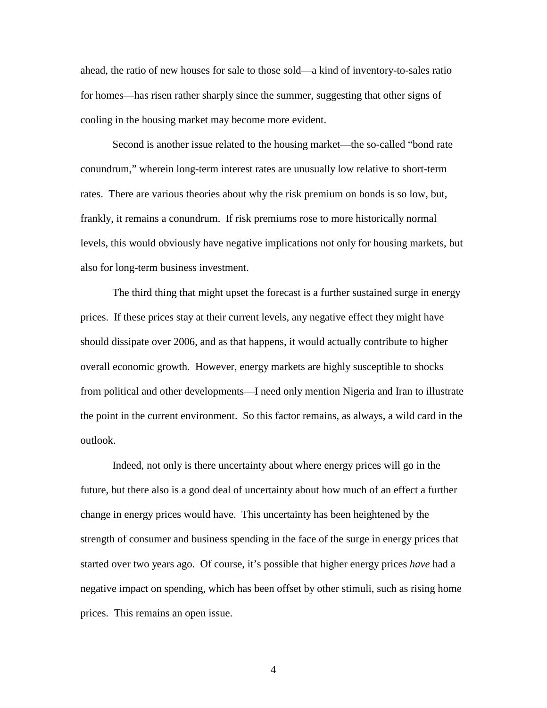ahead, the ratio of new houses for sale to those sold—a kind of inventory-to-sales ratio for homes—has risen rather sharply since the summer, suggesting that other signs of cooling in the housing market may become more evident.

 Second is another issue related to the housing market—the so-called "bond rate conundrum," wherein long-term interest rates are unusually low relative to short-term rates. There are various theories about why the risk premium on bonds is so low, but, frankly, it remains a conundrum. If risk premiums rose to more historically normal levels, this would obviously have negative implications not only for housing markets, but also for long-term business investment.

The third thing that might upset the forecast is a further sustained surge in energy prices. If these prices stay at their current levels, any negative effect they might have should dissipate over 2006, and as that happens, it would actually contribute to higher overall economic growth. However, energy markets are highly susceptible to shocks from political and other developments—I need only mention Nigeria and Iran to illustrate the point in the current environment. So this factor remains, as always, a wild card in the outlook.

Indeed, not only is there uncertainty about where energy prices will go in the future, but there also is a good deal of uncertainty about how much of an effect a further change in energy prices would have. This uncertainty has been heightened by the strength of consumer and business spending in the face of the surge in energy prices that started over two years ago. Of course, it's possible that higher energy prices *have* had a negative impact on spending, which has been offset by other stimuli, such as rising home prices. This remains an open issue.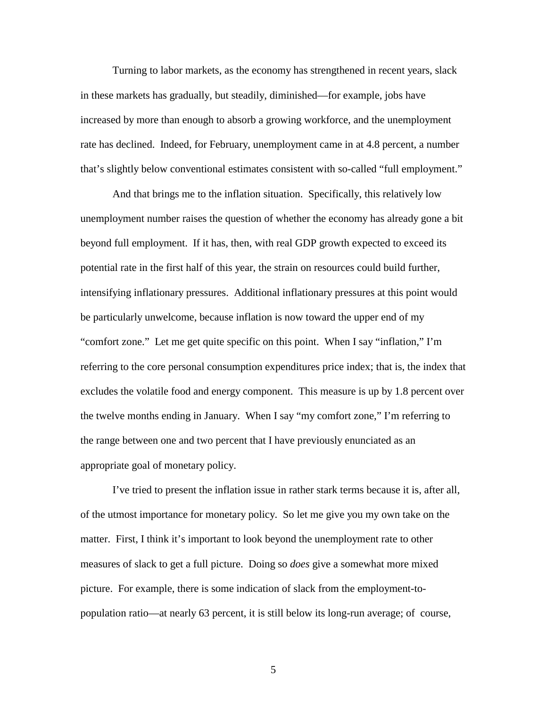Turning to labor markets, as the economy has strengthened in recent years, slack in these markets has gradually, but steadily, diminished—for example, jobs have increased by more than enough to absorb a growing workforce, and the unemployment rate has declined. Indeed, for February, unemployment came in at 4.8 percent, a number that's slightly below conventional estimates consistent with so-called "full employment."

And that brings me to the inflation situation. Specifically, this relatively low unemployment number raises the question of whether the economy has already gone a bit beyond full employment. If it has, then, with real GDP growth expected to exceed its potential rate in the first half of this year, the strain on resources could build further, intensifying inflationary pressures. Additional inflationary pressures at this point would be particularly unwelcome, because inflation is now toward the upper end of my "comfort zone." Let me get quite specific on this point. When I say "inflation," I'm referring to the core personal consumption expenditures price index; that is, the index that excludes the volatile food and energy component. This measure is up by 1.8 percent over the twelve months ending in January. When I say "my comfort zone," I'm referring to the range between one and two percent that I have previously enunciated as an appropriate goal of monetary policy.

I've tried to present the inflation issue in rather stark terms because it is, after all, of the utmost importance for monetary policy. So let me give you my own take on the matter. First, I think it's important to look beyond the unemployment rate to other measures of slack to get a full picture. Doing so *does* give a somewhat more mixed picture. For example, there is some indication of slack from the employment-topopulation ratio—at nearly 63 percent, it is still below its long-run average; of course,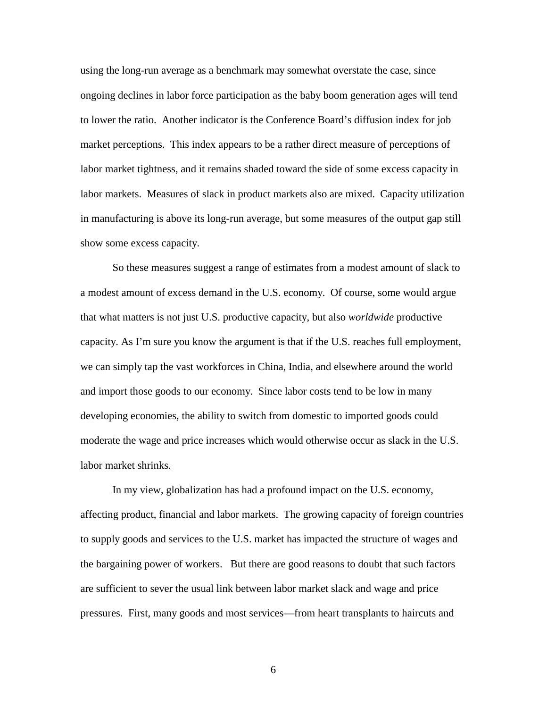using the long-run average as a benchmark may somewhat overstate the case, since ongoing declines in labor force participation as the baby boom generation ages will tend to lower the ratio. Another indicator is the Conference Board's diffusion index for job market perceptions. This index appears to be a rather direct measure of perceptions of labor market tightness, and it remains shaded toward the side of some excess capacity in labor markets. Measures of slack in product markets also are mixed. Capacity utilization in manufacturing is above its long-run average, but some measures of the output gap still show some excess capacity.

So these measures suggest a range of estimates from a modest amount of slack to a modest amount of excess demand in the U.S. economy. Of course, some would argue that what matters is not just U.S. productive capacity, but also *worldwide* productive capacity. As I'm sure you know the argument is that if the U.S. reaches full employment, we can simply tap the vast workforces in China, India, and elsewhere around the world and import those goods to our economy. Since labor costs tend to be low in many developing economies, the ability to switch from domestic to imported goods could moderate the wage and price increases which would otherwise occur as slack in the U.S. labor market shrinks.

In my view, globalization has had a profound impact on the U.S. economy, affecting product, financial and labor markets. The growing capacity of foreign countries to supply goods and services to the U.S. market has impacted the structure of wages and the bargaining power of workers. But there are good reasons to doubt that such factors are sufficient to sever the usual link between labor market slack and wage and price pressures. First, many goods and most services—from heart transplants to haircuts and

 $\sim$  6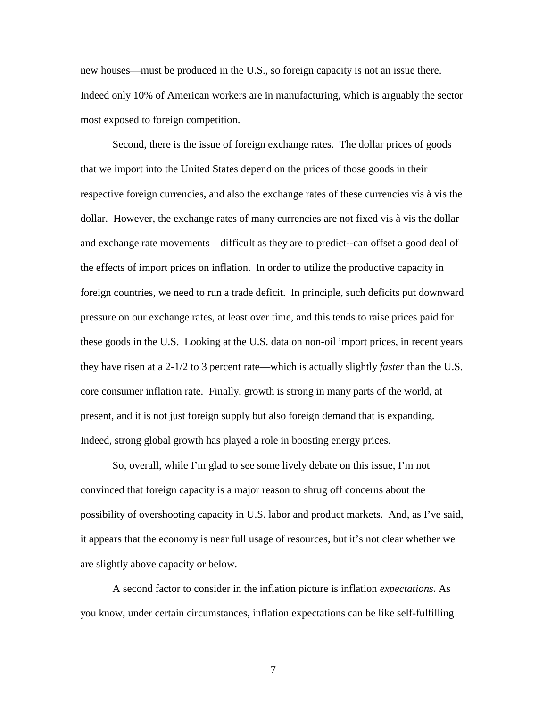new houses—must be produced in the U.S., so foreign capacity is not an issue there. Indeed only 10% of American workers are in manufacturing, which is arguably the sector most exposed to foreign competition.

Second, there is the issue of foreign exchange rates. The dollar prices of goods that we import into the United States depend on the prices of those goods in their respective foreign currencies, and also the exchange rates of these currencies vis à vis the dollar. However, the exchange rates of many currencies are not fixed vis à vis the dollar and exchange rate movements—difficult as they are to predict--can offset a good deal of the effects of import prices on inflation. In order to utilize the productive capacity in foreign countries, we need to run a trade deficit. In principle, such deficits put downward pressure on our exchange rates, at least over time, and this tends to raise prices paid for these goods in the U.S. Looking at the U.S. data on non-oil import prices, in recent years they have risen at a 2-1/2 to 3 percent rate—which is actually slightly *faster* than the U.S. core consumer inflation rate. Finally, growth is strong in many parts of the world, at present, and it is not just foreign supply but also foreign demand that is expanding. Indeed, strong global growth has played a role in boosting energy prices.

So, overall, while I'm glad to see some lively debate on this issue, I'm not convinced that foreign capacity is a major reason to shrug off concerns about the possibility of overshooting capacity in U.S. labor and product markets. And, as I've said, it appears that the economy is near full usage of resources, but it's not clear whether we are slightly above capacity or below.

A second factor to consider in the inflation picture is inflation *expectations*. As you know, under certain circumstances, inflation expectations can be like self-fulfilling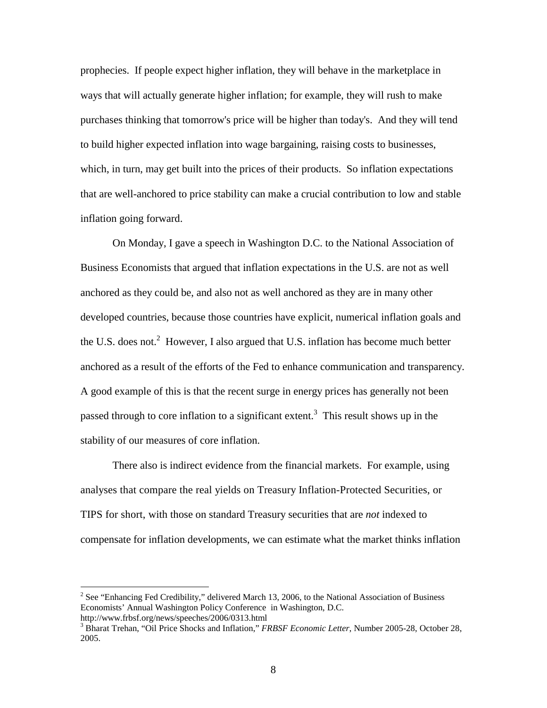prophecies. If people expect higher inflation, they will behave in the marketplace in ways that will actually generate higher inflation; for example, they will rush to make purchases thinking that tomorrow's price will be higher than today's. And they will tend to build higher expected inflation into wage bargaining, raising costs to businesses, which, in turn, may get built into the prices of their products. So inflation expectations that are well-anchored to price stability can make a crucial contribution to low and stable inflation going forward.

On Monday, I gave a speech in Washington D.C. to the National Association of Business Economists that argued that inflation expectations in the U.S. are not as well anchored as they could be, and also not as well anchored as they are in many other developed countries, because those countries have explicit, numerical inflation goals and the U.S. does not.<sup>2</sup> However, I also argued that U.S. inflation has become much better anchored as a result of the efforts of the Fed to enhance communication and transparency. A good example of this is that the recent surge in energy prices has generally not been passed through to core inflation to a significant extent.<sup>3</sup> This result shows up in the stability of our measures of core inflation.

There also is indirect evidence from the financial markets. For example, using analyses that compare the real yields on Treasury Inflation-Protected Securities, or TIPS for short, with those on standard Treasury securities that are *not* indexed to compensate for inflation developments, we can estimate what the market thinks inflation

<sup>&</sup>lt;sup>2</sup> See "Enhancing Fed Credibility," delivered March 13, 2006, to the National Association of Business Economists' Annual Washington Policy Conference in Washington, D.C. http://www.frbsf.org/news/speeches/2006/0313.html 3

<sup>&</sup>lt;sup>3</sup> Bharat Trehan, "Oil Price Shocks and Inflation," *FRBSF Economic Letter*, Number 2005-28, October 28, 2005.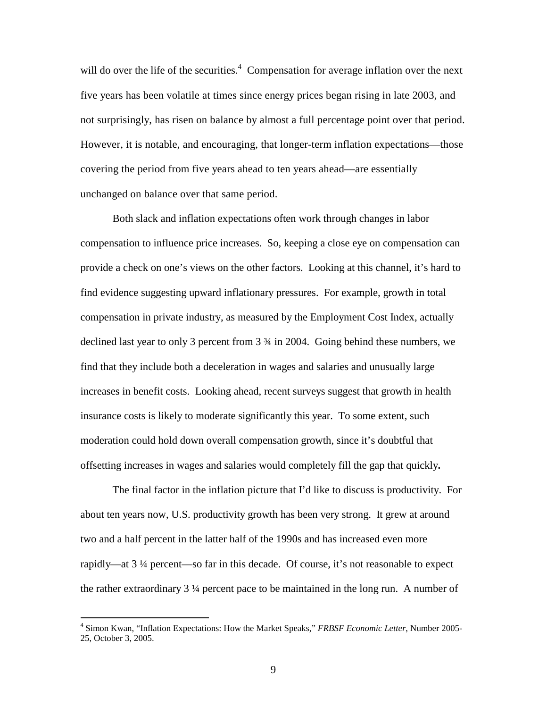will do over the life of the securities.<sup>4</sup> Compensation for average inflation over the next five years has been volatile at times since energy prices began rising in late 2003, and not surprisingly, has risen on balance by almost a full percentage point over that period. However, it is notable, and encouraging, that longer-term inflation expectations—those covering the period from five years ahead to ten years ahead—are essentially unchanged on balance over that same period.

 Both slack and inflation expectations often work through changes in labor compensation to influence price increases. So, keeping a close eye on compensation can provide a check on one's views on the other factors. Looking at this channel, it's hard to find evidence suggesting upward inflationary pressures. For example, growth in total compensation in private industry, as measured by the Employment Cost Index, actually declined last year to only 3 percent from 3 ¾ in 2004. Going behind these numbers, we find that they include both a deceleration in wages and salaries and unusually large increases in benefit costs. Looking ahead, recent surveys suggest that growth in health insurance costs is likely to moderate significantly this year. To some extent, such moderation could hold down overall compensation growth, since it's doubtful that offsetting increases in wages and salaries would completely fill the gap that quickly**.** 

The final factor in the inflation picture that I'd like to discuss is productivity. For about ten years now, U.S. productivity growth has been very strong. It grew at around two and a half percent in the latter half of the 1990s and has increased even more rapidly—at 3 ¼ percent—so far in this decade. Of course, it's not reasonable to expect the rather extraordinary 3 ¼ percent pace to be maintained in the long run. A number of

<sup>4</sup> Simon Kwan, "Inflation Expectations: How the Market Speaks," *FRBSF Economic Letter*, Number 2005- 25, October 3, 2005.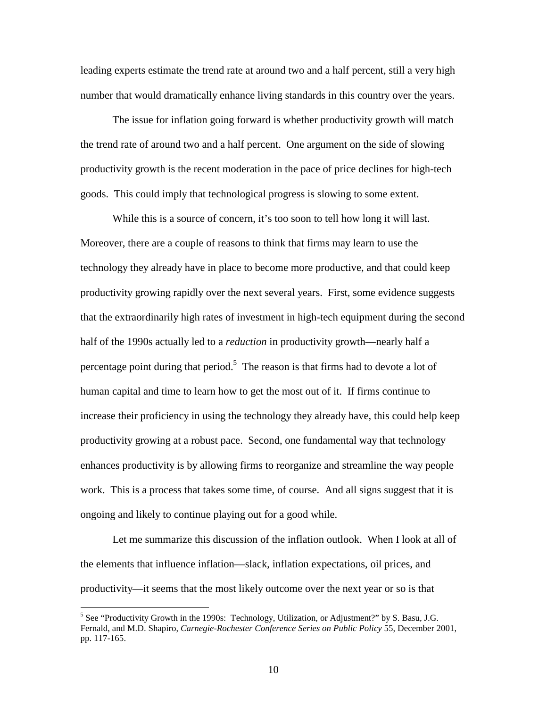leading experts estimate the trend rate at around two and a half percent, still a very high number that would dramatically enhance living standards in this country over the years.

 The issue for inflation going forward is whether productivity growth will match the trend rate of around two and a half percent. One argument on the side of slowing productivity growth is the recent moderation in the pace of price declines for high-tech goods. This could imply that technological progress is slowing to some extent.

While this is a source of concern, it's too soon to tell how long it will last. Moreover, there are a couple of reasons to think that firms may learn to use the technology they already have in place to become more productive, and that could keep productivity growing rapidly over the next several years. First, some evidence suggests that the extraordinarily high rates of investment in high-tech equipment during the second half of the 1990s actually led to a *reduction* in productivity growth—nearly half a percentage point during that period.<sup>5</sup> The reason is that firms had to devote a lot of human capital and time to learn how to get the most out of it. If firms continue to increase their proficiency in using the technology they already have, this could help keep productivity growing at a robust pace. Second, one fundamental way that technology enhances productivity is by allowing firms to reorganize and streamline the way people work. This is a process that takes some time, of course. And all signs suggest that it is ongoing and likely to continue playing out for a good while.

 Let me summarize this discussion of the inflation outlook. When I look at all of the elements that influence inflation—slack, inflation expectations, oil prices, and productivity—it seems that the most likely outcome over the next year or so is that

<sup>&</sup>lt;sup>5</sup> See "Productivity Growth in the 1990s: Technology, Utilization, or Adjustment?" by S. Basu, J.G. Fernald, and M.D. Shapiro, *Carnegie-Rochester Conference Series on Public Policy* 55, December 2001, pp. 117-165.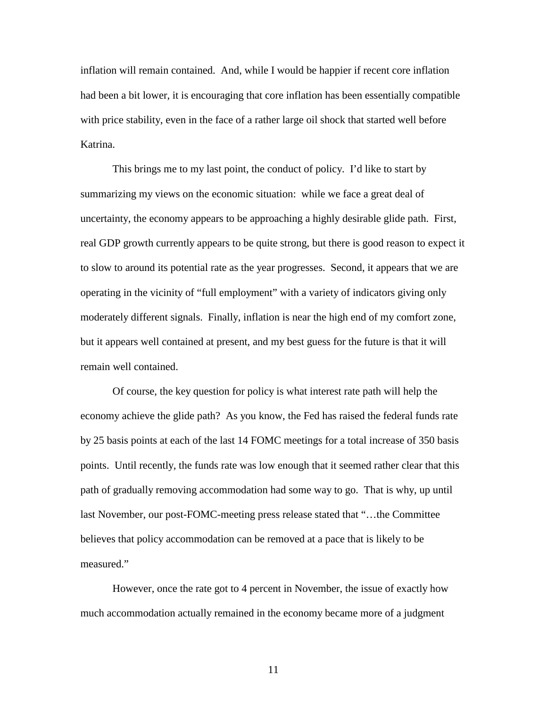inflation will remain contained. And, while I would be happier if recent core inflation had been a bit lower, it is encouraging that core inflation has been essentially compatible with price stability, even in the face of a rather large oil shock that started well before Katrina.

This brings me to my last point, the conduct of policy. I'd like to start by summarizing my views on the economic situation: while we face a great deal of uncertainty, the economy appears to be approaching a highly desirable glide path. First, real GDP growth currently appears to be quite strong, but there is good reason to expect it to slow to around its potential rate as the year progresses. Second, it appears that we are operating in the vicinity of "full employment" with a variety of indicators giving only moderately different signals. Finally, inflation is near the high end of my comfort zone, but it appears well contained at present, and my best guess for the future is that it will remain well contained.

 Of course, the key question for policy is what interest rate path will help the economy achieve the glide path? As you know, the Fed has raised the federal funds rate by 25 basis points at each of the last 14 FOMC meetings for a total increase of 350 basis points. Until recently, the funds rate was low enough that it seemed rather clear that this path of gradually removing accommodation had some way to go. That is why, up until last November, our post-FOMC-meeting press release stated that "…the Committee believes that policy accommodation can be removed at a pace that is likely to be measured."

 However, once the rate got to 4 percent in November, the issue of exactly how much accommodation actually remained in the economy became more of a judgment